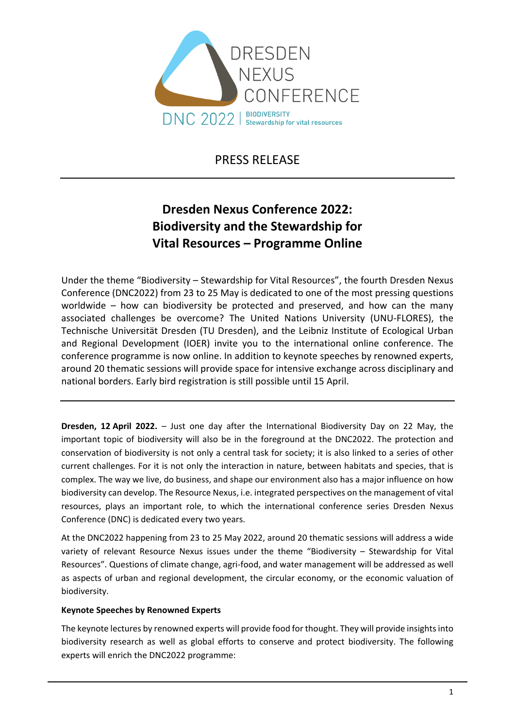

PRESS RELEASE

# **Dresden Nexus Conference 2022: Biodiversity and the Stewardship for Vital Resources – Programme Online**

Under the theme "Biodiversity – Stewardship for Vital Resources", the fourth Dresden Nexus Conference (DNC2022) from 23 to 25 May is dedicated to one of the most pressing questions worldwide – how can biodiversity be protected and preserved, and how can the many associated challenges be overcome? The United Nations University (UNU‐FLORES), the Technische Universität Dresden (TU Dresden), and the Leibniz Institute of Ecological Urban and Regional Development (IOER) invite you to the international online conference. The conference programme is now online. In addition to keynote speeches by renowned experts, around 20 thematic sessions will provide space for intensive exchange across disciplinary and national borders. Early bird registration is still possible until 15 April.

**Dresden, 12 April 2022.** – Just one day after the International Biodiversity Day on 22 May, the important topic of biodiversity will also be in the foreground at the DNC2022. The protection and conservation of biodiversity is not only a central task for society; it is also linked to a series of other current challenges. For it is not only the interaction in nature, between habitats and species, that is complex. The way we live, do business, and shape our environment also has a major influence on how biodiversity can develop. The Resource Nexus, i.e. integrated perspectives on the management of vital resources, plays an important role, to which the international conference series Dresden Nexus Conference (DNC) is dedicated every two years.

At the DNC2022 happening from 23 to 25 May 2022, around 20 thematic sessions will address a wide variety of relevant Resource Nexus issues under the theme "Biodiversity – Stewardship for Vital Resources". Questions of climate change, agri‐food, and water management will be addressed as well as aspects of urban and regional development, the circular economy, or the economic valuation of biodiversity.

## **Keynote Speeches by Renowned Experts**

The keynote lectures by renowned experts will provide food for thought. They will provide insights into biodiversity research as well as global efforts to conserve and protect biodiversity. The following experts will enrich the DNC2022 programme: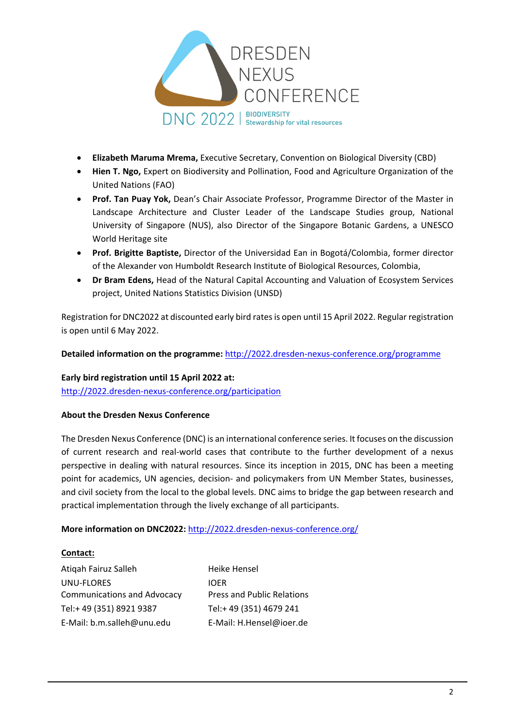

- **Elizabeth Maruma Mrema,** Executive Secretary, Convention on Biological Diversity (CBD)
- **Hien T. Ngo,** Expert on Biodiversity and Pollination, Food and Agriculture Organization of the United Nations (FAO)
- **Prof. Tan Puay Yok,** Dean's Chair Associate Professor, Programme Director of the Master in Landscape Architecture and Cluster Leader of the Landscape Studies group, National University of Singapore (NUS), also Director of the Singapore Botanic Gardens, a UNESCO World Heritage site
- **Prof. Brigitte Baptiste,** Director of the Universidad Ean in Bogotá/Colombia, former director of the Alexander von Humboldt Research Institute of Biological Resources, Colombia,
- **Dr Bram Edens,** Head of the Natural Capital Accounting and Valuation of Ecosystem Services project, United Nations Statistics Division (UNSD)

Registration for DNC2022 at discounted early bird ratesis open until 15 April 2022. Regular registration is open until 6 May 2022.

**Detailed information on the programme:** http://2022.dresden‐nexus‐[conference.org/programme](http://2022.dresden-nexus-conference.org/programme)

**Early bird registration until 15 April 2022 at:**  http://2022.dresden‐nexus‐[conference.org/participation](http://2022.dresden-nexus-conference.org/participation)

## **About the Dresden Nexus Conference**

The Dresden Nexus Conference (DNC) is an international conference series. It focuses on the discussion of current research and real‐world cases that contribute to the further development of a nexus perspective in dealing with natural resources. Since its inception in 2015, DNC has been a meeting point for academics, UN agencies, decision- and policymakers from UN Member States, businesses, and civil society from the local to the global levels. DNC aims to bridge the gap between research and practical implementation through the lively exchange of all participants.

# **More information on DNC2022:** [http://2022.dresden](http://2022.dresden-nexus-conference.org/)‐nexus‐conference.org/

## **Contact:**

Atiqah Fairuz Salleh UNU‐FLORES Communications and Advocacy Tel:+ 49 (351) 8921 9387 E‐Mail: b.m.salleh@unu.edu

Heike Hensel IOER Press and Public Relations Tel:+ 49 (351) 4679 241 E‐Mail: H.Hensel@ioer.de